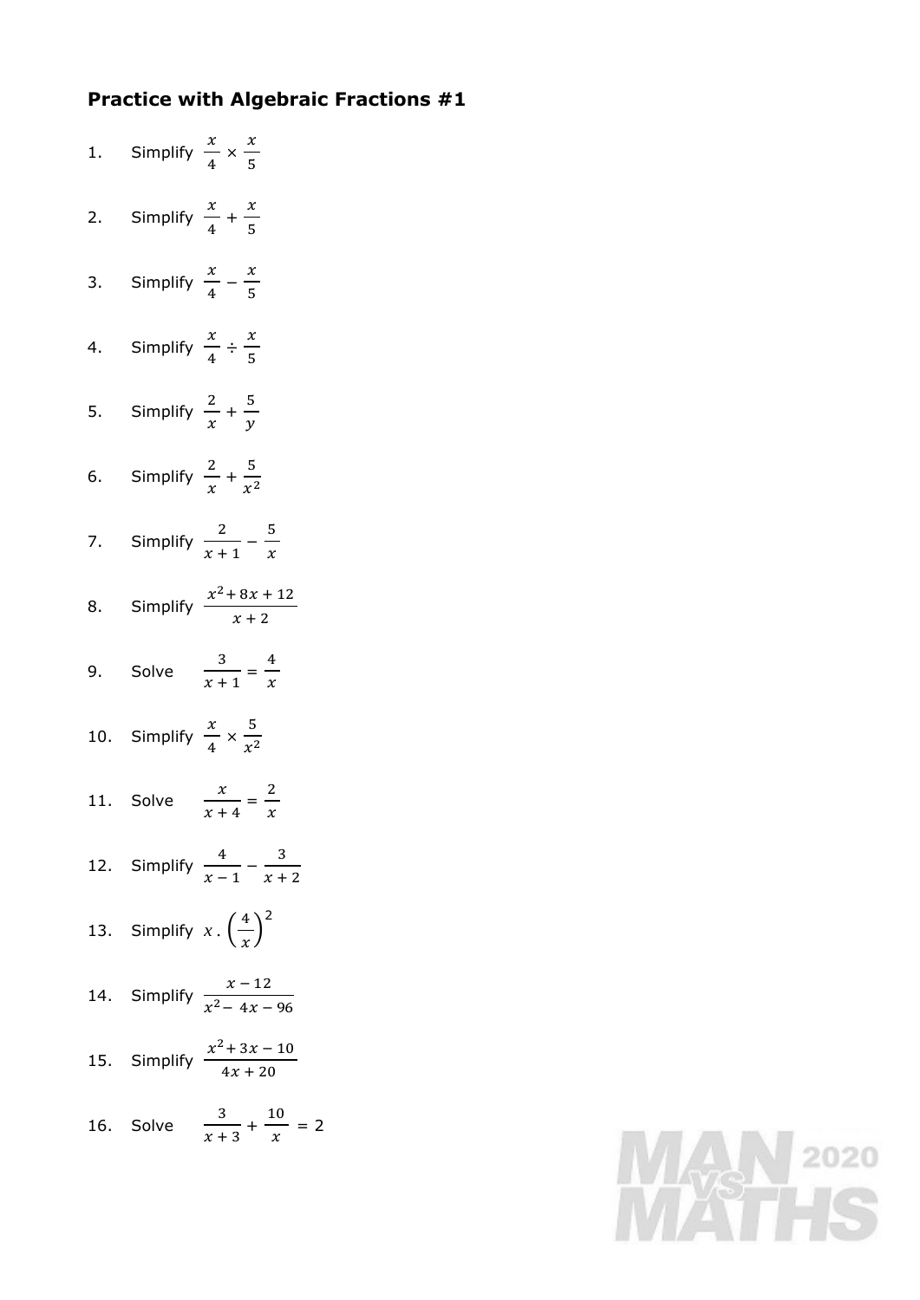## **Practice with Algebraic Fractions #1**

1. Simplify  $\frac{x}{1}$  $\frac{x}{4} \times \frac{x}{5}$ 5 2. Simplify  $\frac{x}{1}$  $\frac{x}{4} + \frac{x}{5}$ 5 3. Simplify  $\frac{x}{1}$  $\frac{x}{4} - \frac{x}{5}$ 5 4. Simplify  $\frac{x}{4}$  $\frac{x}{4} \div \frac{x}{5}$ 5 5. Simplify  $\frac{2}{3}$  $\frac{2}{x} + \frac{5}{y}$  $\mathcal{Y}$ 6. Simplify  $\frac{2}{3}$  $\frac{2}{x} + \frac{5}{x^2}$  $x^2$ 7. Simplify  $\frac{2}{\sqrt{2}}$  $\frac{2}{x+1} - \frac{5}{x}$  $\mathcal{X}$ 8. Simplify  $\frac{x^2 + 8x + 12}{x^2 + 6}$  $\frac{2x+2}{x+2}$ 9. Solve  $\frac{3}{2}$  $\frac{3}{x+1} = \frac{4}{x}$  $\mathcal{X}$ 10. Simplify  $\frac{x}{1}$  $rac{x}{4} \times \frac{5}{x^2}$  $x^2$ 11. Solve  $\frac{x}{x}$  $\frac{x}{x+4} = \frac{2}{x}$  $\mathcal{X}$ 12. Simplify  $\frac{4}{3}$  $\frac{4}{x-1} - \frac{3}{x+1}$  $x + 2$ 13. Simplify  $x \cdot \left(\frac{4}{x}\right)$  $\left(\frac{4}{x}\right)^2$ 14. Simplify  $\frac{x-12}{2}$  $\frac{x^2-4x-96}{x^2-4x-96}$ 15. Simplify  $\frac{x^2 + 3x - 10}{1}$  $\frac{1}{4x + 20}$ 16. Solve  $\frac{3}{2}$  $\frac{3}{x+3} + \frac{10}{x}$  $\frac{1}{x}$  = 2